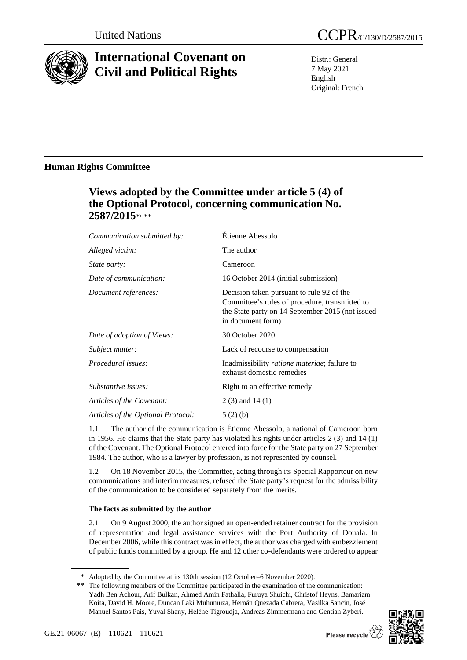

# **International Covenant on Civil and Political Rights**

Distr.: General 7 May 2021 English Original: French

# **Human Rights Committee**

# **Views adopted by the Committee under article 5 (4) of the Optional Protocol, concerning communication No. 2587/2015**\* , \*\*

| Communication submitted by:        | Étienne Abessolo                                                                                                                                                     |
|------------------------------------|----------------------------------------------------------------------------------------------------------------------------------------------------------------------|
| Alleged victim:                    | The author                                                                                                                                                           |
| <i>State party:</i>                | Cameroon                                                                                                                                                             |
| Date of communication:             | 16 October 2014 (initial submission)                                                                                                                                 |
| Document references:               | Decision taken pursuant to rule 92 of the<br>Committee's rules of procedure, transmitted to<br>the State party on 14 September 2015 (not issued<br>in document form) |
| Date of adoption of Views:         | 30 October 2020                                                                                                                                                      |
| Subject matter:                    | Lack of recourse to compensation                                                                                                                                     |
| Procedural issues:                 | Inadmissibility <i>ratione materiae</i> ; failure to<br>exhaust domestic remedies                                                                                    |
| Substantive issues:                | Right to an effective remedy                                                                                                                                         |
| Articles of the Covenant:          | $2(3)$ and $14(1)$                                                                                                                                                   |
| Articles of the Optional Protocol: | 5(2)(b)                                                                                                                                                              |
|                                    |                                                                                                                                                                      |

1.1 The author of the communication is Étienne Abessolo, a national of Cameroon born in 1956. He claims that the State party has violated his rights under articles 2 (3) and 14 (1) of the Covenant. The Optional Protocol entered into force for the State party on 27 September 1984. The author, who is a lawyer by profession, is not represented by counsel.

1.2 On 18 November 2015, the Committee, acting through its Special Rapporteur on new communications and interim measures, refused the State party's request for the admissibility of the communication to be considered separately from the merits.

# **The facts as submitted by the author**

2.1 On 9 August 2000, the author signed an open-ended retainer contract for the provision of representation and legal assistance services with the Port Authority of Douala. In December 2006, while this contract was in effect, the author was charged with embezzlement of public funds committed by a group. He and 12 other co-defendants were ordered to appear

<sup>\*\*</sup> The following members of the Committee participated in the examination of the communication: Yadh Ben Achour, Arif Bulkan, Ahmed Amin Fathalla, Furuya Shuichi, Christof Heyns, Bamariam Koita, David H. Moore, Duncan Laki Muhumuza, Hernán Quezada Cabrera, Vasilka Sancin, José Manuel Santos Pais, Yuval Shany, Hélène Tigroudja, Andreas Zimmermann and Gentian Zyberi.



<sup>\*</sup> Adopted by the Committee at its 130th session (12 October–6 November 2020).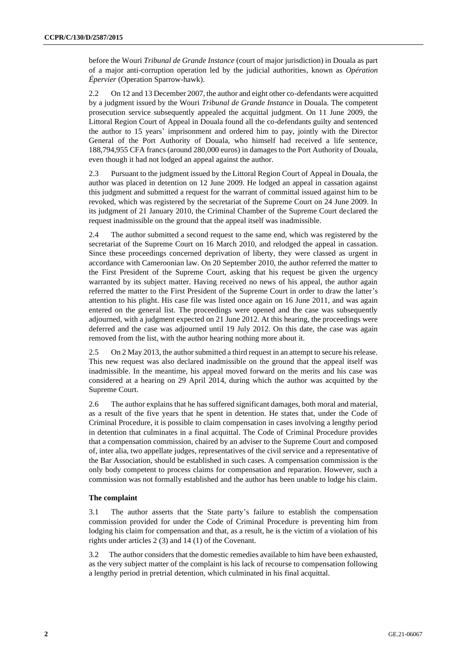before the Wouri *Tribunal de Grande Instance* (court of major jurisdiction) in Douala as part of a major anti-corruption operation led by the judicial authorities, known as *Opération Épervier* (Operation Sparrow-hawk).

2.2 On 12 and 13 December 2007, the author and eight other co-defendants were acquitted by a judgment issued by the Wouri *Tribunal de Grande Instance* in Douala. The competent prosecution service subsequently appealed the acquittal judgment. On 11 June 2009, the Littoral Region Court of Appeal in Douala found all the co-defendants guilty and sentenced the author to 15 years' imprisonment and ordered him to pay, jointly with the Director General of the Port Authority of Douala, who himself had received a life sentence, 188,794,955 CFA francs (around 280,000 euros) in damages to the Port Authority of Douala, even though it had not lodged an appeal against the author.

2.3 Pursuant to the judgment issued by the Littoral Region Court of Appeal in Douala, the author was placed in detention on 12 June 2009. He lodged an appeal in cassation against this judgment and submitted a request for the warrant of committal issued against him to be revoked, which was registered by the secretariat of the Supreme Court on 24 June 2009. In its judgment of 21 January 2010, the Criminal Chamber of the Supreme Court declared the request inadmissible on the ground that the appeal itself was inadmissible.

2.4 The author submitted a second request to the same end, which was registered by the secretariat of the Supreme Court on 16 March 2010, and relodged the appeal in cassation. Since these proceedings concerned deprivation of liberty, they were classed as urgent in accordance with Cameroonian law. On 20 September 2010, the author referred the matter to the First President of the Supreme Court, asking that his request be given the urgency warranted by its subject matter. Having received no news of his appeal, the author again referred the matter to the First President of the Supreme Court in order to draw the latter's attention to his plight. His case file was listed once again on 16 June 2011, and was again entered on the general list. The proceedings were opened and the case was subsequently adjourned, with a judgment expected on 21 June 2012. At this hearing, the proceedings were deferred and the case was adjourned until 19 July 2012. On this date, the case was again removed from the list, with the author hearing nothing more about it.

2.5 On 2 May 2013, the author submitted a third request in an attempt to secure his release. This new request was also declared inadmissible on the ground that the appeal itself was inadmissible. In the meantime, his appeal moved forward on the merits and his case was considered at a hearing on 29 April 2014, during which the author was acquitted by the Supreme Court.

2.6 The author explains that he has suffered significant damages, both moral and material, as a result of the five years that he spent in detention. He states that, under the Code of Criminal Procedure, it is possible to claim compensation in cases involving a lengthy period in detention that culminates in a final acquittal. The Code of Criminal Procedure provides that a compensation commission, chaired by an adviser to the Supreme Court and composed of, inter alia, two appellate judges, representatives of the civil service and a representative of the Bar Association, should be established in such cases. A compensation commission is the only body competent to process claims for compensation and reparation. However, such a commission was not formally established and the author has been unable to lodge his claim.

# **The complaint**

3.1 The author asserts that the State party's failure to establish the compensation commission provided for under the Code of Criminal Procedure is preventing him from lodging his claim for compensation and that, as a result, he is the victim of a violation of his rights under articles 2 (3) and 14 (1) of the Covenant.

3.2 The author considers that the domestic remedies available to him have been exhausted, as the very subject matter of the complaint is his lack of recourse to compensation following a lengthy period in pretrial detention, which culminated in his final acquittal.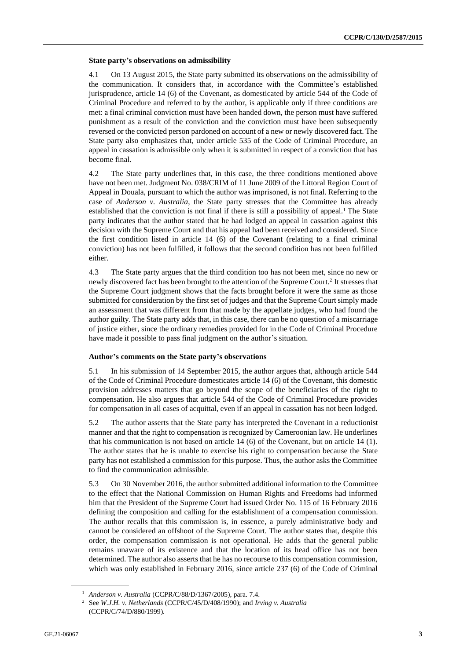#### **State party's observations on admissibility**

4.1 On 13 August 2015, the State party submitted its observations on the admissibility of the communication. It considers that, in accordance with the Committee's established jurisprudence, article 14 (6) of the Covenant, as domesticated by article 544 of the Code of Criminal Procedure and referred to by the author, is applicable only if three conditions are met: a final criminal conviction must have been handed down, the person must have suffered punishment as a result of the conviction and the conviction must have been subsequently reversed or the convicted person pardoned on account of a new or newly discovered fact. The State party also emphasizes that, under article 535 of the Code of Criminal Procedure, an appeal in cassation is admissible only when it is submitted in respect of a conviction that has become final.

4.2 The State party underlines that, in this case, the three conditions mentioned above have not been met. Judgment No. 038/CRIM of 11 June 2009 of the Littoral Region Court of Appeal in Douala, pursuant to which the author was imprisoned, is not final. Referring to the case of *Anderson v. Australia*, the State party stresses that the Committee has already established that the conviction is not final if there is still a possibility of appeal.<sup>1</sup> The State party indicates that the author stated that he had lodged an appeal in cassation against this decision with the Supreme Court and that his appeal had been received and considered. Since the first condition listed in article 14 (6) of the Covenant (relating to a final criminal conviction) has not been fulfilled, it follows that the second condition has not been fulfilled either.

4.3 The State party argues that the third condition too has not been met, since no new or newly discovered fact has been brought to the attention of the Supreme Court.<sup>2</sup> It stresses that the Supreme Court judgment shows that the facts brought before it were the same as those submitted for consideration by the first set of judges and that the Supreme Court simply made an assessment that was different from that made by the appellate judges, who had found the author guilty. The State party adds that, in this case, there can be no question of a miscarriage of justice either, since the ordinary remedies provided for in the Code of Criminal Procedure have made it possible to pass final judgment on the author's situation.

# **Author's comments on the State party's observations**

5.1 In his submission of 14 September 2015, the author argues that, although article 544 of the Code of Criminal Procedure domesticates article 14 (6) of the Covenant, this domestic provision addresses matters that go beyond the scope of the beneficiaries of the right to compensation. He also argues that article 544 of the Code of Criminal Procedure provides for compensation in all cases of acquittal, even if an appeal in cassation has not been lodged.

5.2 The author asserts that the State party has interpreted the Covenant in a reductionist manner and that the right to compensation is recognized by Cameroonian law. He underlines that his communication is not based on article 14 (6) of the Covenant, but on article 14 (1). The author states that he is unable to exercise his right to compensation because the State party has not established a commission for this purpose. Thus, the author asks the Committee to find the communication admissible.

5.3 On 30 November 2016, the author submitted additional information to the Committee to the effect that the National Commission on Human Rights and Freedoms had informed him that the President of the Supreme Court had issued Order No. 115 of 16 February 2016 defining the composition and calling for the establishment of a compensation commission. The author recalls that this commission is, in essence, a purely administrative body and cannot be considered an offshoot of the Supreme Court. The author states that, despite this order, the compensation commission is not operational. He adds that the general public remains unaware of its existence and that the location of its head office has not been determined. The author also asserts that he has no recourse to this compensation commission, which was only established in February 2016, since article 237 (6) of the Code of Criminal

<sup>1</sup> *Anderson v. Australia* (CCPR/C/88/D/1367/2005), para. 7.4.

<sup>2</sup> See *W.J.H. v. Netherlands* (CCPR/C/45/D/408/1990); and *Irving v. Australia* (CCPR/C/74/D/880/1999).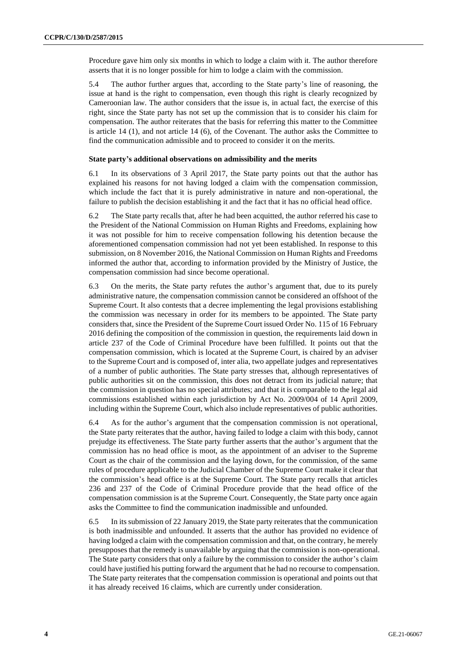Procedure gave him only six months in which to lodge a claim with it. The author therefore asserts that it is no longer possible for him to lodge a claim with the commission.

5.4 The author further argues that, according to the State party's line of reasoning, the issue at hand is the right to compensation, even though this right is clearly recognized by Cameroonian law. The author considers that the issue is, in actual fact, the exercise of this right, since the State party has not set up the commission that is to consider his claim for compensation. The author reiterates that the basis for referring this matter to the Committee is article 14 (1), and not article 14 (6), of the Covenant. The author asks the Committee to find the communication admissible and to proceed to consider it on the merits.

## **State party's additional observations on admissibility and the merits**

6.1 In its observations of 3 April 2017, the State party points out that the author has explained his reasons for not having lodged a claim with the compensation commission, which include the fact that it is purely administrative in nature and non-operational, the failure to publish the decision establishing it and the fact that it has no official head office.

6.2 The State party recalls that, after he had been acquitted, the author referred his case to the President of the National Commission on Human Rights and Freedoms, explaining how it was not possible for him to receive compensation following his detention because the aforementioned compensation commission had not yet been established. In response to this submission, on 8 November 2016, the National Commission on Human Rights and Freedoms informed the author that, according to information provided by the Ministry of Justice, the compensation commission had since become operational.

6.3 On the merits, the State party refutes the author's argument that, due to its purely administrative nature, the compensation commission cannot be considered an offshoot of the Supreme Court. It also contests that a decree implementing the legal provisions establishing the commission was necessary in order for its members to be appointed. The State party considers that, since the President of the Supreme Court issued Order No. 115 of 16 February 2016 defining the composition of the commission in question, the requirements laid down in article 237 of the Code of Criminal Procedure have been fulfilled. It points out that the compensation commission, which is located at the Supreme Court, is chaired by an adviser to the Supreme Court and is composed of, inter alia, two appellate judges and representatives of a number of public authorities. The State party stresses that, although representatives of public authorities sit on the commission, this does not detract from its judicial nature; that the commission in question has no special attributes; and that it is comparable to the legal aid commissions established within each jurisdiction by Act No. 2009/004 of 14 April 2009, including within the Supreme Court, which also include representatives of public authorities.

6.4 As for the author's argument that the compensation commission is not operational, the State party reiterates that the author, having failed to lodge a claim with this body, cannot prejudge its effectiveness. The State party further asserts that the author's argument that the commission has no head office is moot, as the appointment of an adviser to the Supreme Court as the chair of the commission and the laying down, for the commission, of the same rules of procedure applicable to the Judicial Chamber of the Supreme Court make it clear that the commission's head office is at the Supreme Court. The State party recalls that articles 236 and 237 of the Code of Criminal Procedure provide that the head office of the compensation commission is at the Supreme Court. Consequently, the State party once again asks the Committee to find the communication inadmissible and unfounded.

6.5 In its submission of 22 January 2019, the State party reiterates that the communication is both inadmissible and unfounded. It asserts that the author has provided no evidence of having lodged a claim with the compensation commission and that, on the contrary, he merely presupposes that the remedy is unavailable by arguing that the commission is non-operational. The State party considers that only a failure by the commission to consider the author's claim could have justified his putting forward the argument that he had no recourse to compensation. The State party reiterates that the compensation commission is operational and points out that it has already received 16 claims, which are currently under consideration.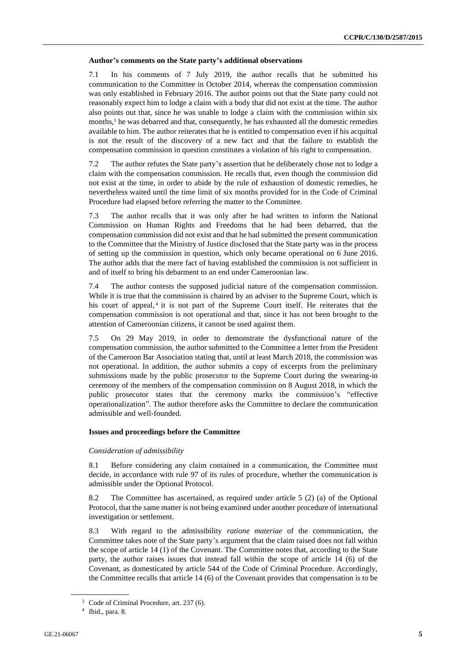#### **Author's comments on the State party's additional observations**

7.1 In his comments of 7 July 2019, the author recalls that he submitted his communication to the Committee in October 2014, whereas the compensation commission was only established in February 2016. The author points out that the State party could not reasonably expect him to lodge a claim with a body that did not exist at the time. The author also points out that, since he was unable to lodge a claim with the commission within six months,<sup>3</sup> he was debarred and that, consequently, he has exhausted all the domestic remedies available to him. The author reiterates that he is entitled to compensation even if his acquittal is not the result of the discovery of a new fact and that the failure to establish the compensation commission in question constitutes a violation of his right to compensation.

7.2 The author refutes the State party's assertion that he deliberately chose not to lodge a claim with the compensation commission. He recalls that, even though the commission did not exist at the time, in order to abide by the rule of exhaustion of domestic remedies, he nevertheless waited until the time limit of six months provided for in the Code of Criminal Procedure had elapsed before referring the matter to the Committee.

7.3 The author recalls that it was only after he had written to inform the National Commission on Human Rights and Freedoms that he had been debarred, that the compensation commission did not exist and that he had submitted the present communication to the Committee that the Ministry of Justice disclosed that the State party was in the process of setting up the commission in question, which only became operational on 6 June 2016. The author adds that the mere fact of having established the commission is not sufficient in and of itself to bring his debarment to an end under Cameroonian law.

7.4 The author contests the supposed judicial nature of the compensation commission. While it is true that the commission is chaired by an adviser to the Supreme Court, which is his court of appeal,<sup>4</sup> it is not part of the Supreme Court itself. He reiterates that the compensation commission is not operational and that, since it has not been brought to the attention of Cameroonian citizens, it cannot be used against them.

7.5 On 29 May 2019, in order to demonstrate the dysfunctional nature of the compensation commission, the author submitted to the Committee a letter from the President of the Cameroon Bar Association stating that, until at least March 2018, the commission was not operational. In addition, the author submits a copy of excerpts from the preliminary submissions made by the public prosecutor to the Supreme Court during the swearing-in ceremony of the members of the compensation commission on 8 August 2018, in which the public prosecutor states that the ceremony marks the commission's "effective operationalization". The author therefore asks the Committee to declare the communication admissible and well-founded.

## **Issues and proceedings before the Committee**

## *Consideration of admissibility*

8.1 Before considering any claim contained in a communication, the Committee must decide, in accordance with rule 97 of its rules of procedure, whether the communication is admissible under the Optional Protocol.

8.2 The Committee has ascertained, as required under article 5 (2) (a) of the Optional Protocol, that the same matter is not being examined under another procedure of international investigation or settlement.

8.3 With regard to the admissibility *ratione materiae* of the communication, the Committee takes note of the State party's argument that the claim raised does not fall within the scope of article 14 (1) of the Covenant. The Committee notes that, according to the State party, the author raises issues that instead fall within the scope of article 14 (6) of the Covenant, as domesticated by article 544 of the Code of Criminal Procedure. Accordingly, the Committee recalls that article 14 (6) of the Covenant provides that compensation is to be

<sup>&</sup>lt;sup>3</sup> Code of Criminal Procedure, art. 237 (6).

<sup>4</sup> Ibid., para. 8.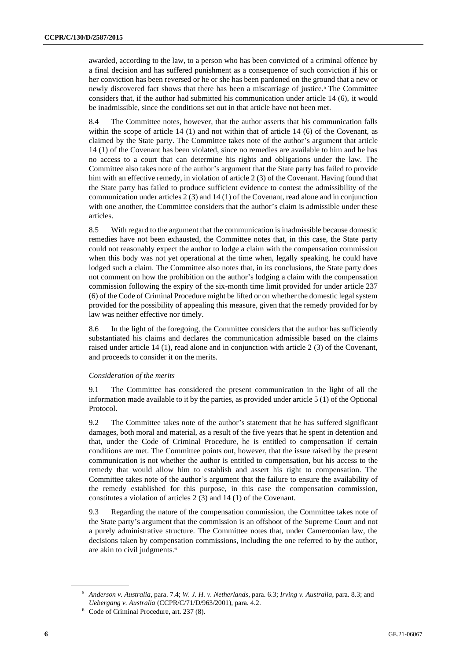awarded, according to the law, to a person who has been convicted of a criminal offence by a final decision and has suffered punishment as a consequence of such conviction if his or her conviction has been reversed or he or she has been pardoned on the ground that a new or newly discovered fact shows that there has been a miscarriage of justice.<sup>5</sup> The Committee considers that, if the author had submitted his communication under article 14 (6), it would be inadmissible, since the conditions set out in that article have not been met.

8.4 The Committee notes, however, that the author asserts that his communication falls within the scope of article 14 (1) and not within that of article 14 (6) of the Covenant, as claimed by the State party. The Committee takes note of the author's argument that article 14 (1) of the Covenant has been violated, since no remedies are available to him and he has no access to a court that can determine his rights and obligations under the law. The Committee also takes note of the author's argument that the State party has failed to provide him with an effective remedy, in violation of article 2 (3) of the Covenant. Having found that the State party has failed to produce sufficient evidence to contest the admissibility of the communication under articles 2 (3) and 14 (1) of the Covenant, read alone and in conjunction with one another, the Committee considers that the author's claim is admissible under these articles.

8.5 With regard to the argument that the communication is inadmissible because domestic remedies have not been exhausted, the Committee notes that, in this case, the State party could not reasonably expect the author to lodge a claim with the compensation commission when this body was not yet operational at the time when, legally speaking, he could have lodged such a claim. The Committee also notes that, in its conclusions, the State party does not comment on how the prohibition on the author's lodging a claim with the compensation commission following the expiry of the six-month time limit provided for under article 237 (6) of the Code of Criminal Procedure might be lifted or on whether the domestic legal system provided for the possibility of appealing this measure, given that the remedy provided for by law was neither effective nor timely.

8.6 In the light of the foregoing, the Committee considers that the author has sufficiently substantiated his claims and declares the communication admissible based on the claims raised under article 14 (1), read alone and in conjunction with article 2 (3) of the Covenant, and proceeds to consider it on the merits.

## *Consideration of the merits*

9.1 The Committee has considered the present communication in the light of all the information made available to it by the parties, as provided under article 5 (1) of the Optional Protocol.

9.2 The Committee takes note of the author's statement that he has suffered significant damages, both moral and material, as a result of the five years that he spent in detention and that, under the Code of Criminal Procedure, he is entitled to compensation if certain conditions are met. The Committee points out, however, that the issue raised by the present communication is not whether the author is entitled to compensation, but his access to the remedy that would allow him to establish and assert his right to compensation. The Committee takes note of the author's argument that the failure to ensure the availability of the remedy established for this purpose, in this case the compensation commission, constitutes a violation of articles 2 (3) and 14 (1) of the Covenant.

9.3 Regarding the nature of the compensation commission, the Committee takes note of the State party's argument that the commission is an offshoot of the Supreme Court and not a purely administrative structure. The Committee notes that, under Cameroonian law, the decisions taken by compensation commissions, including the one referred to by the author, are akin to civil judgments.<sup>6</sup>

<sup>5</sup> *Anderson v. Australia*, para. 7.4; *W. J. H. v. Netherlands*, para. 6.3; *Irving v. Australia*, para. 8.3; and *Uebergang v. Australia* (CCPR/C/71/D/963/2001), para. 4.2.

<sup>6</sup> Code of Criminal Procedure, art. 237 (8).